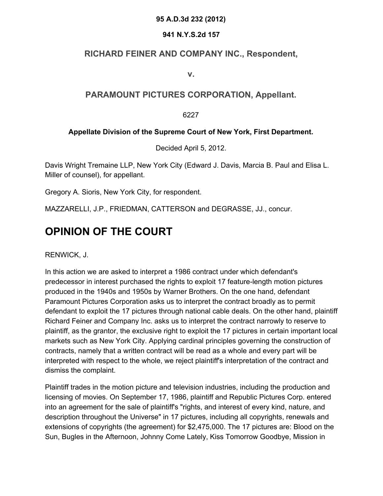#### **95 A.D.3d 232 (2012)**

#### **941 N.Y.S.2d 157**

## **RICHARD FEINER AND COMPANY INC., Respondent,**

**v.**

## **PARAMOUNT PICTURES CORPORATION, Appellant.**

6227

### **Appellate Division of the Supreme Court of New York, First Department.**

Decided April 5, 2012.

Davis Wright Tremaine LLP, New York City (Edward J. Davis, Marcia B. Paul and Elisa L. Miller of counsel), for appellant.

Gregory A. Sioris, New York City, for respondent.

MAZZARELLI, J.P., FRIEDMAN, CATTERSON and DEGRASSE, JJ., concur.

# **OPINION OF THE COURT**

RENWICK, J.

In this action we are asked to interpret a 1986 contract under which defendant's predecessor in interest purchased the rights to exploit 17 feature-length motion pictures produced in the 1940s and 1950s by Warner Brothers. On the one hand, defendant Paramount Pictures Corporation asks us to interpret the contract broadly as to permit defendant to exploit the 17 pictures through national cable deals. On the other hand, plaintiff Richard Feiner and Company Inc. asks us to interpret the contract narrowly to reserve to plaintiff, as the grantor, the exclusive right to exploit the 17 pictures in certain important local markets such as New York City. Applying cardinal principles governing the construction of contracts, namely that a written contract will be read as a whole and every part will be interpreted with respect to the whole, we reject plaintiff's interpretation of the contract and dismiss the complaint.

Plaintiff trades in the motion picture and television industries, including the production and licensing of movies. On September 17, 1986, plaintiff and Republic Pictures Corp. entered into an agreement for the sale of plaintiff's "rights, and interest of every kind, nature, and description throughout the Universe" in 17 pictures, including all copyrights, renewals and extensions of copyrights (the agreement) for \$2,475,000. The 17 pictures are: Blood on the Sun, Bugles in the Afternoon, Johnny Come Lately, Kiss Tomorrow Goodbye, Mission in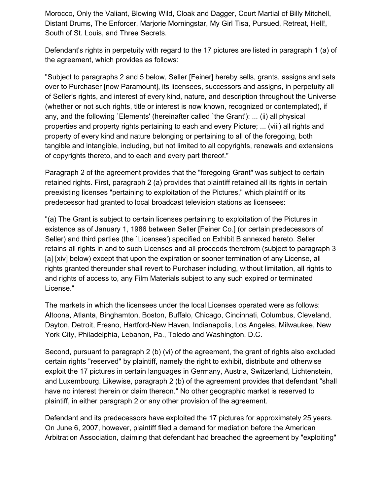Morocco, Only the Valiant, Blowing Wild, Cloak and Dagger, Court Martial of Billy Mitchell, Distant Drums, The Enforcer, Marjorie Morningstar, My Girl Tisa, Pursued, Retreat, Hell!, South of St. Louis, and Three Secrets.

Defendant's rights in perpetuity with regard to the 17 pictures are listed in paragraph 1 (a) of the agreement, which provides as follows:

"Subject to paragraphs 2 and 5 below, Seller [Feiner] hereby sells, grants, assigns and sets over to Purchaser [now Paramount], its licensees, successors and assigns, in perpetuity all of Seller's rights, and interest of every kind, nature, and description throughout the Universe (whether or not such rights, title or interest is now known, recognized or contemplated), if any, and the following `Elements' (hereinafter called `the Grant'): ... (ii) all physical properties and property rights pertaining to each and every Picture; ... (viii) all rights and property of every kind and nature belonging or pertaining to all of the foregoing, both tangible and intangible, including, but not limited to all copyrights, renewals and extensions of copyrights thereto, and to each and every part thereof."

Paragraph 2 of the agreement provides that the "foregoing Grant" was subject to certain retained rights. First, paragraph 2 (a) provides that plaintiff retained all its rights in certain preexisting licenses "pertaining to exploitation of the Pictures," which plaintiff or its predecessor had granted to local broadcast television stations as licensees:

"(a) The Grant is subject to certain licenses pertaining to exploitation of the Pictures in existence as of January 1, 1986 between Seller [Feiner Co.] (or certain predecessors of Seller) and third parties (the `Licenses') specified on Exhibit B annexed hereto. Seller retains all rights in and to such Licenses and all proceeds therefrom (subject to paragraph 3 [a] [xiv] below) except that upon the expiration or sooner termination of any License, all rights granted thereunder shall revert to Purchaser including, without limitation, all rights to and rights of access to, any Film Materials subject to any such expired or terminated License."

The markets in which the licensees under the local Licenses operated were as follows: Altoona, Atlanta, Binghamton, Boston, Buffalo, Chicago, Cincinnati, Columbus, Cleveland, Dayton, Detroit, Fresno, Hartford-New Haven, Indianapolis, Los Angeles, Milwaukee, New York City, Philadelphia, Lebanon, Pa., Toledo and Washington, D.C.

Second, pursuant to paragraph 2 (b) (vi) of the agreement, the grant of rights also excluded certain rights "reserved" by plaintiff, namely the right to exhibit, distribute and otherwise exploit the 17 pictures in certain languages in Germany, Austria, Switzerland, Lichtenstein, and Luxembourg. Likewise, paragraph 2 (b) of the agreement provides that defendant "shall have no interest therein or claim thereon." No other geographic market is reserved to plaintiff, in either paragraph 2 or any other provision of the agreement.

Defendant and its predecessors have exploited the 17 pictures for approximately 25 years. On June 6, 2007, however, plaintiff filed a demand for mediation before the American Arbitration Association, claiming that defendant had breached the agreement by "exploiting"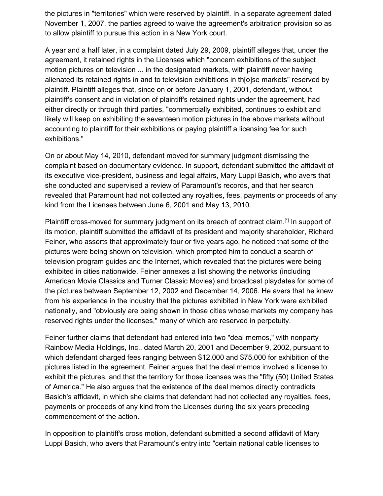the pictures in "territories" which were reserved by plaintiff. In a separate agreement dated November 1, 2007, the parties agreed to waive the agreement's arbitration provision so as to allow plaintiff to pursue this action in a New York court.

A year and a half later, in a complaint dated July 29, 2009, plaintiff alleges that, under the agreement, it retained rights in the Licenses which "concern exhibitions of the subject motion pictures on television ... in the designated markets, with plaintiff never having alienated its retained rights in and to television exhibitions in th[o]se markets" reserved by plaintiff. Plaintiff alleges that, since on or before January 1, 2001, defendant, without plaintiff's consent and in violation of plaintiff's retained rights under the agreement, had either directly or through third parties, "commercially exhibited, continues to exhibit and likely will keep on exhibiting the seventeen motion pictures in the above markets without accounting to plaintiff for their exhibitions or paying plaintiff a licensing fee for such exhibitions."

On or about May 14, 2010, defendant moved for summary judgment dismissing the complaint based on documentary evidence. In support, defendant submitted the affidavit of its executive vice-president, business and legal affairs, Mary Luppi Basich, who avers that she conducted and supervised a review of Paramount's records, and that her search revealed that Paramount had not collected any royalties, fees, payments or proceeds of any kind from the Licenses between June 6, 2001 and May 13, 2010.

Plaintiff cross-moved for summary judgment on its breach of contract claim.<sup>[\*]</sup> In support of its motion, plaintiff submitted the affidavit of its president and majority shareholder, Richard Feiner, who asserts that approximately four or five years ago, he noticed that some of the pictures were being shown on television, which prompted him to conduct a search of television program guides and the Internet, which revealed that the pictures were being exhibited in cities nationwide. Feiner annexes a list showing the networks (including American Movie Classics and Turner Classic Movies) and broadcast playdates for some of the pictures between September 12, 2002 and December 14, 2006. He avers that he knew from his experience in the industry that the pictures exhibited in New York were exhibited nationally, and "obviously are being shown in those cities whose markets my company has reserved rights under the licenses," many of which are reserved in perpetuity.

Feiner further claims that defendant had entered into two "deal memos," with nonparty Rainbow Media Holdings, Inc., dated March 20, 2001 and December 9, 2002, pursuant to which defendant charged fees ranging between \$12,000 and \$75,000 for exhibition of the pictures listed in the agreement. Feiner argues that the deal memos involved a license to exhibit the pictures, and that the territory for those licenses was the "fifty (50) United States of America." He also argues that the existence of the deal memos directly contradicts Basich's affidavit, in which she claims that defendant had not collected any royalties, fees, payments or proceeds of any kind from the Licenses during the six years preceding commencement of the action.

In opposition to plaintiff's cross motion, defendant submitted a second affidavit of Mary Luppi Basich, who avers that Paramount's entry into "certain national cable licenses to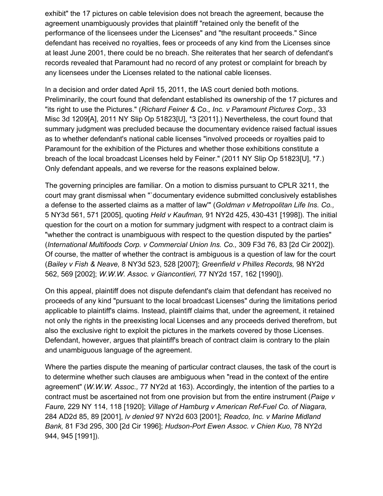exhibit" the 17 pictures on cable television does not breach the agreement, because the agreement unambiguously provides that plaintiff "retained only the benefit of the performance of the licensees under the Licenses" and "the resultant proceeds." Since defendant has received no royalties, fees or proceeds of any kind from the Licenses since at least June 2001, there could be no breach. She reiterates that her search of defendant's records revealed that Paramount had no record of any protest or complaint for breach by any licensees under the Licenses related to the national cable licenses.

In a decision and order dated April 15, 2011, the IAS court denied both motions. Preliminarily, the court found that defendant established its ownership of the 17 pictures and "its right to use the Pictures." (*Richard Feiner & Co., Inc. v Paramount Pictures Corp.,* 33 Misc 3d 1209[A], 2011 NY Slip Op 51823[U], \*3 [2011].) Nevertheless, the court found that summary judgment was precluded because the documentary evidence raised factual issues as to whether defendant's national cable licenses "involved proceeds or royalties paid to Paramount for the exhibition of the Pictures and whether those exhibitions constitute a breach of the local broadcast Licenses held by Feiner." (2011 NY Slip Op 51823[U], \*7.) Only defendant appeals, and we reverse for the reasons explained below.

The governing principles are familiar. On a motion to dismiss pursuant to CPLR 3211, the court may grant dismissal when "`documentary evidence submitted conclusively establishes a defense to the asserted claims as a matter of law'" (*Goldman v Metropolitan Life Ins. Co.,* 5 NY3d 561, 571 [2005], quoting *Held v Kaufman,* 91 NY2d 425, 430-431 [1998]). The initial question for the court on a motion for summary judgment with respect to a contract claim is "whether the contract is unambiguous with respect to the question disputed by the parties" (*International Multifoods Corp. v Commercial Union Ins. Co.,* 309 F3d 76, 83 [2d Cir 2002]). Of course, the matter of whether the contract is ambiguous is a question of law for the court (*Bailey v Fish & Neave,* 8 NY3d 523, 528 [2007]; *Greenfield v Philles Records,* 98 NY2d 562, 569 [2002]; *W.W.W. Assoc. v Giancontieri,* 77 NY2d 157, 162 [1990]).

On this appeal, plaintiff does not dispute defendant's claim that defendant has received no proceeds of any kind "pursuant to the local broadcast Licenses" during the limitations period applicable to plaintiff's claims. Instead, plaintiff claims that, under the agreement, it retained not only the rights in the preexisting local Licenses and any proceeds derived therefrom, but also the exclusive right to exploit the pictures in the markets covered by those Licenses. Defendant, however, argues that plaintiff's breach of contract claim is contrary to the plain and unambiguous language of the agreement.

Where the parties dispute the meaning of particular contract clauses, the task of the court is to determine whether such clauses are ambiguous when "read in the context of the entire agreement" (*W.W.W. Assoc.,* 77 NY2d at 163). Accordingly, the intention of the parties to a contract must be ascertained not from one provision but from the entire instrument (*Paige v Faure,* 229 NY 114, 118 [1920]; *Village of Hamburg v American Ref-Fuel Co. of Niagara,* 284 AD2d 85, 89 [2001], *lv denied* 97 NY2d 603 [2001]; *Readco, Inc. v Marine Midland Bank,* 81 F3d 295, 300 [2d Cir 1996]; *Hudson-Port Ewen Assoc. v Chien Kuo,* 78 NY2d 944, 945 [1991]).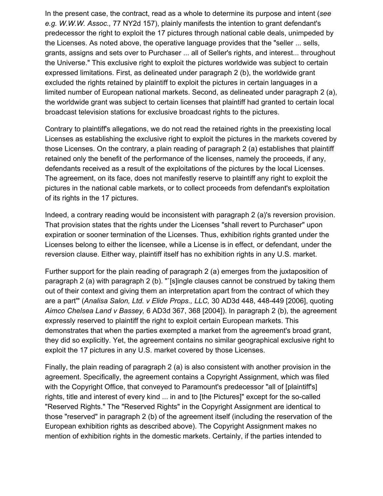In the present case, the contract, read as a whole to determine its purpose and intent (*see e.g. W.W.W. Assoc.,* 77 NY2d 157), plainly manifests the intention to grant defendant's predecessor the right to exploit the 17 pictures through national cable deals, unimpeded by the Licenses. As noted above, the operative language provides that the "seller ... sells, grants, assigns and sets over to Purchaser ... all of Seller's rights, and interest... throughout the Universe." This exclusive right to exploit the pictures worldwide was subject to certain expressed limitations. First, as delineated under paragraph 2 (b), the worldwide grant excluded the rights retained by plaintiff to exploit the pictures in certain languages in a limited number of European national markets. Second, as delineated under paragraph 2 (a), the worldwide grant was subject to certain licenses that plaintiff had granted to certain local broadcast television stations for exclusive broadcast rights to the pictures.

Contrary to plaintiff's allegations, we do not read the retained rights in the preexisting local Licenses as establishing the exclusive right to exploit the pictures in the markets covered by those Licenses. On the contrary, a plain reading of paragraph 2 (a) establishes that plaintiff retained only the benefit of the performance of the licenses, namely the proceeds, if any, defendants received as a result of the exploitations of the pictures by the local Licenses. The agreement, on its face, does not manifestly reserve to plaintiff any right to exploit the pictures in the national cable markets, or to collect proceeds from defendant's exploitation of its rights in the 17 pictures.

Indeed, a contrary reading would be inconsistent with paragraph 2 (a)'s reversion provision. That provision states that the rights under the Licenses "shall revert to Purchaser" upon expiration or sooner termination of the Licenses. Thus, exhibition rights granted under the Licenses belong to either the licensee, while a License is in effect, or defendant, under the reversion clause. Either way, plaintiff itself has no exhibition rights in any U.S. market.

Further support for the plain reading of paragraph 2 (a) emerges from the juxtaposition of paragraph 2 (a) with paragraph 2 (b). "`[s]ingle clauses cannot be construed by taking them out of their context and giving them an interpretation apart from the contract of which they are a part'" (*Analisa Salon, Ltd. v Elide Props., LLC,* 30 AD3d 448, 448-449 [2006], quoting *Aimco Chelsea Land v Bassey,* 6 AD3d 367, 368 [2004]). In paragraph 2 (b), the agreement expressly reserved to plaintiff the right to exploit certain European markets. This demonstrates that when the parties exempted a market from the agreement's broad grant, they did so explicitly. Yet, the agreement contains no similar geographical exclusive right to exploit the 17 pictures in any U.S. market covered by those Licenses.

Finally, the plain reading of paragraph 2 (a) is also consistent with another provision in the agreement. Specifically, the agreement contains a Copyright Assignment, which was filed with the Copyright Office, that conveyed to Paramount's predecessor "all of [plaintiff's] rights, title and interest of every kind ... in and to [the Pictures]" except for the so-called "Reserved Rights." The "Reserved Rights" in the Copyright Assignment are identical to those "reserved" in paragraph 2 (b) of the agreement itself (including the reservation of the European exhibition rights as described above). The Copyright Assignment makes no mention of exhibition rights in the domestic markets. Certainly, if the parties intended to